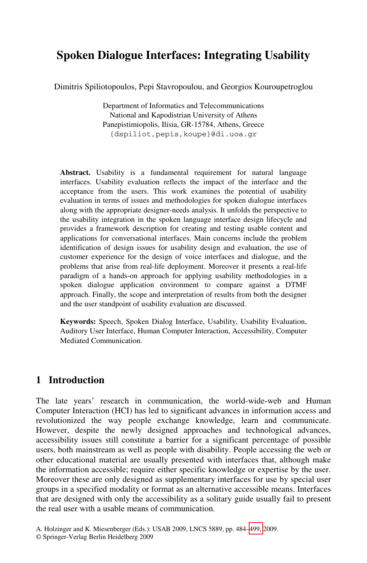# **Spoken Dialogue Interfaces: Integrating Usability**

Dimitris Spiliotopoulos, Pepi Stavropoulou, and Georgios Kouroupetroglou

Department of Informatics and Telecommunications National and Kapodistrian University of Athens Panepistimiopolis, Ilisia, GR-15784, Athens, Greece {dspiliot,pepis,koupe}@di.uoa.gr

Abstract. Usability is a fundamental requirement for natural language interfaces. Usability evaluation reflects the impact of the interface and the acceptance from the users. This work examines the potential of usability evaluation in terms of issues and methodologies for spoken dialogue interfaces along with the appropriate designer-needs analysis. It unfolds the perspective to the usability integration in the spoken language interface design lifecycle and provides a framework description for creating and testing usable content and applications for conversational interfaces. Main concerns include the problem identification of design issues for usability design and evaluation, the use of customer experience for the design of voice interfaces and dialogue, and the problems that arise from real-life deployment. Moreover it presents a real-life paradigm of a hands-on approach for applying usability methodologies in a spoken dialogue application environment to compare against a DTMF approach. Finally, the scope and interpretation of results from both the designer and the user standpoint of usability evaluation are discussed.

**Keywords:** Speech, Spoken Dialog Interface, Usability, Usability Evaluation, Auditory User Interface, Human Computer Interaction, Accessibility, Computer Mediated Communication.

## **1 Introduction**

The late years' research in communication, the world-wide-web and Human Computer Interaction (HCI) has led to significant advances in information access and revolutionized the way people exchange knowledge, learn and communicate. However, despite the newly designed approaches and technological advances, accessibility issues still constitute a barrier for a significant percentage of possible users, both mainstream as well as people [with](#page-15-0) disability. People accessing the web or other educational material are usually presented with interfaces that, although make the information accessible; require either specific knowledge or expertise by the user. Moreover these are only designed as supplementary interfaces for use by special user groups in a specified modality or format as an alternative accessible means. Interfaces that are designed with only the accessibility as a solitary guide usually fail to present the real user with a usable means of communication.

A. Holzinger and K. Miesenberger (Eds.): USAB 2009, LNCS 5889, pp. 484–499, 2009.

<sup>©</sup> Springer-Verlag Berlin Heidelberg 2009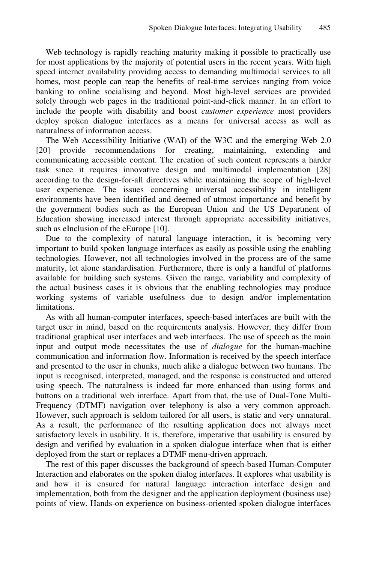Web technology is rapidly reaching maturity making it possible to practically use for most applications by the majority of potential users in the recent years. With high speed internet availability providing access to demanding multimodal services to all homes, most people can reap the benefits of real-time services ranging from voice banking to online socialising and beyond. Most high-level services are provided solely through web pages in the traditional point-and-click manner. In an effort to include the people with disability and boost *customer experience* most providers deploy spoken dialogue interfaces as a means for universal access as well as naturalness of information access.

The Web Accessibility Initiative (WAI) of the W3C and the emerging Web 2.0 [20] provide recommendations for creating, maintaining, extending and communicating accessible content. The creation of such content represents a harder task since it requires innovative design and multimodal implementation [28] according to the design-for-all directives while maintaining the scope of high-level user experience. The issues concerning universal accessibility in intelligent environments have been identified and deemed of utmost importance and benefit by the government bodies such as the European Union and the US Department of Education showing increased interest through appropriate accessibility initiatives, such as eInclusion of the eEurope [10].

Due to the complexity of natural language interaction, it is becoming very important to build spoken language interfaces as easily as possible using the enabling technologies. However, not all technologies involved in the process are of the same maturity, let alone standardisation. Furthermore, there is only a handful of platforms available for building such systems. Given the range, variability and complexity of the actual business cases it is obvious that the enabling technologies may produce working systems of variable usefulness due to design and/or implementation limitations.

As with all human-computer interfaces, speech-based interfaces are built with the target user in mind, based on the requirements analysis. However, they differ from traditional graphical user interfaces and web interfaces. The use of speech as the main input and output mode necessitates the use of *dialogue* for the human-machine communication and information flow. Information is received by the speech interface and presented to the user in chunks, much alike a dialogue between two humans. The input is recognised, interpreted, managed, and the response is constructed and uttered using speech. The naturalness is indeed far more enhanced than using forms and buttons on a traditional web interface. Apart from that, the use of Dual-Tone Multi-Frequency (DTMF) navigation over telephony is also a very common approach. However, such approach is seldom tailored for all users, is static and very unnatural. As a result, the performance of the resulting application does not always meet satisfactory levels in usability. It is, therefore, imperative that usability is ensured by design and verified by evaluation in a spoken dialogue interface when that is either deployed from the start or replaces a DTMF menu-driven approach.

The rest of this paper discusses the background of speech-based Human-Computer Interaction and elaborates on the spoken dialog interfaces. It explores what usability is and how it is ensured for natural language interaction interface design and implementation, both from the designer and the application deployment (business use) points of view. Hands-on experience on business-oriented spoken dialogue interfaces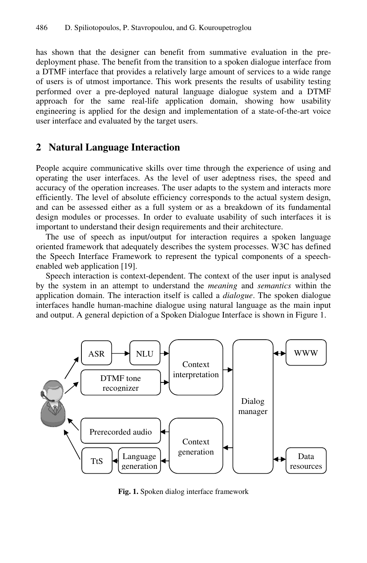has shown that the designer can benefit from summative evaluation in the predeployment phase. The benefit from the transition to a spoken dialogue interface from a DTMF interface that provides a relatively large amount of services to a wide range of users is of utmost importance. This work presents the results of usability testing performed over a pre-deployed natural language dialogue system and a DTMF approach for the same real-life application domain, showing how usability engineering is applied for the design and implementation of a state-of-the-art voice user interface and evaluated by the target users.

#### **2 Natural Language Interaction**

People acquire communicative skills over time through the experience of using and operating the user interfaces. As the level of user adeptness rises, the speed and accuracy of the operation increases. The user adapts to the system and interacts more efficiently. The level of absolute efficiency corresponds to the actual system design, and can be assessed either as a full system or as a breakdown of its fundamental design modules or processes. In order to evaluate usability of such interfaces it is important to understand their design requirements and their architecture.

The use of speech as input/output for interaction requires a spoken language oriented framework that adequately describes the system processes. W3C has defined the Speech Interface Framework to represent the typical components of a speechenabled web application [19].

Speech interaction is context-dependent. The context of the user input is analysed by the system in an attempt to understand the *meaning* and *semantics* within the application domain. The interaction itself is called a *dialogue*. The spoken dialogue interfaces handle human-machine dialogue using natural language as the main input and output. A general depiction of a Spoken Dialogue Interface is shown in Figure 1.



**Fig. 1.** Spoken dialog interface framework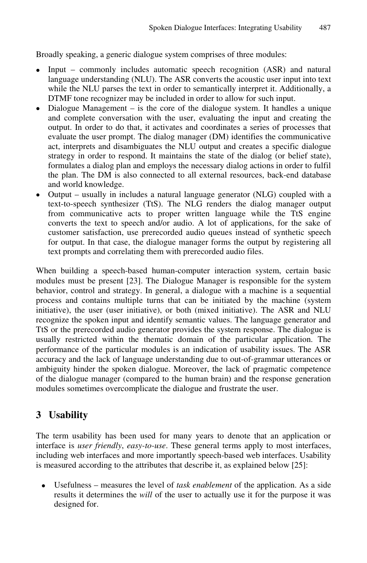Broadly speaking, a generic dialogue system comprises of three modules:

- Input commonly includes automatic speech recognition (ASR) and natural language understanding (NLU). The ASR converts the acoustic user input into text while the NLU parses the text in order to semantically interpret it. Additionally, a DTMF tone recognizer may be included in order to allow for such input.
- Dialogue Management is the core of the dialogue system. It handles a unique and complete conversation with the user, evaluating the input and creating the output. In order to do that, it activates and coordinates a series of processes that evaluate the user prompt. The dialog manager (DM) identifies the communicative act, interprets and disambiguates the NLU output and creates a specific dialogue strategy in order to respond. It maintains the state of the dialog (or belief state), formulates a dialog plan and employs the necessary dialog actions in order to fulfil the plan. The DM is also connected to all external resources, back-end database and world knowledge.
- Output usually in includes a natural language generator (NLG) coupled with a text-to-speech synthesizer (TtS). The NLG renders the dialog manager output from communicative acts to proper written language while the TtS engine converts the text to speech and/or audio. A lot of applications, for the sake of customer satisfaction, use prerecorded audio queues instead of synthetic speech for output. In that case, the dialogue manager forms the output by registering all text prompts and correlating them with prerecorded audio files.

When building a speech-based human-computer interaction system, certain basic modules must be present [23]. The Dialogue Manager is responsible for the system behavior, control and strategy. In general, a dialogue with a machine is a sequential process and contains multiple turns that can be initiated by the machine (system initiative), the user (user initiative), or both (mixed initiative). The ASR and NLU recognize the spoken input and identify semantic values. The language generator and TtS or the prerecorded audio generator provides the system response. The dialogue is usually restricted within the thematic domain of the particular application. The performance of the particular modules is an indication of usability issues. The ASR accuracy and the lack of language understanding due to out-of-grammar utterances or ambiguity hinder the spoken dialogue. Moreover, the lack of pragmatic competence of the dialogue manager (compared to the human brain) and the response generation modules sometimes overcomplicate the dialogue and frustrate the user.

# **3 Usability**

The term usability has been used for many years to denote that an application or interface is *user friendly*, *easy-to-use*. These general terms apply to most interfaces, including web interfaces and more importantly speech-based web interfaces. Usability is measured according to the attributes that describe it, as explained below [25]:

• Usefulness – measures the level of *task enablement* of the application. As a side results it determines the *will* of the user to actually use it for the purpose it was designed for.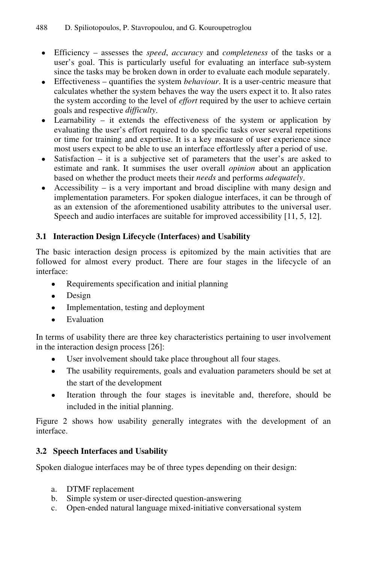- Efficiency assesses the *speed*, *accuracy* and *completeness* of the tasks or a user's goal. This is particularly useful for evaluating an interface sub-system since the tasks may be broken down in order to evaluate each module separately.
- Effectiveness quantifies the system *behaviour*. It is a user-centric measure that calculates whether the system behaves the way the users expect it to. It also rates the system according to the level of *effort* required by the user to achieve certain goals and respective *difficulty*.
- Learnability it extends the effectiveness of the system or application by evaluating the user's effort required to do specific tasks over several repetitions or time for training and expertise. It is a key measure of user experience since most users expect to be able to use an interface effortlessly after a period of use.
- Satisfaction it is a subjective set of parameters that the user's are asked to estimate and rank. It summises the user overall *opinion* about an application based on whether the product meets their *needs* and performs *adequately*.
- Accessibility is a very important and broad discipline with many design and implementation parameters. For spoken dialogue interfaces, it can be through of as an extension of the aforementioned usability attributes to the universal user. Speech and audio interfaces are suitable for improved accessibility [11, 5, 12].

## **3.1 Interaction Design Lifecycle (Interfaces) and Usability**

The basic interaction design process is epitomized by the main activities that are followed for almost every product. There are four stages in the lifecycle of an interface:

- Requirements specification and initial planning
- Design
- Implementation, testing and deployment
- Evaluation

In terms of usability there are three key characteristics pertaining to user involvement in the interaction design process [26]:

- User involvement should take place throughout all four stages.
- The usability requirements, goals and evaluation parameters should be set at the start of the development
- Iteration through the four stages is inevitable and, therefore, should be included in the initial planning.

Figure 2 shows how usability generally integrates with the development of an interface.

## **3.2 Speech Interfaces and Usability**

Spoken dialogue interfaces may be of three types depending on their design:

- a. DTMF replacement
- b. Simple system or user-directed question-answering
- c. Open-ended natural language mixed-initiative conversational system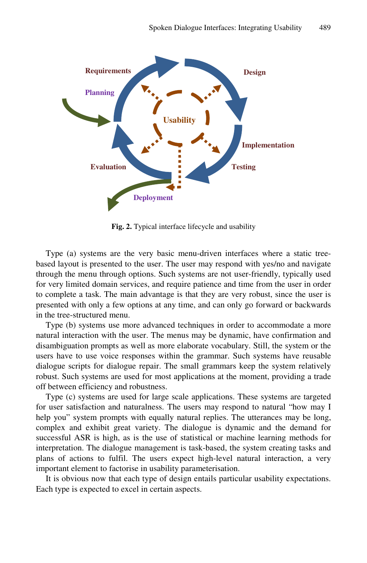

**Fig. 2.** Typical interface lifecycle and usability

Type (a) systems are the very basic menu-driven interfaces where a static treebased layout is presented to the user. The user may respond with yes/no and navigate through the menu through options. Such systems are not user-friendly, typically used for very limited domain services, and require patience and time from the user in order to complete a task. The main advantage is that they are very robust, since the user is presented with only a few options at any time, and can only go forward or backwards in the tree-structured menu.

Type (b) systems use more advanced techniques in order to accommodate a more natural interaction with the user. The menus may be dynamic, have confirmation and disambiguation prompts as well as more elaborate vocabulary. Still, the system or the users have to use voice responses within the grammar. Such systems have reusable dialogue scripts for dialogue repair. The small grammars keep the system relatively robust. Such systems are used for most applications at the moment, providing a trade off between efficiency and robustness.

Type (c) systems are used for large scale applications. These systems are targeted for user satisfaction and naturalness. The users may respond to natural "how may I help you" system prompts with equally natural replies. The utterances may be long, complex and exhibit great variety. The dialogue is dynamic and the demand for successful ASR is high, as is the use of statistical or machine learning methods for interpretation. The dialogue management is task-based, the system creating tasks and plans of actions to fulfil. The users expect high-level natural interaction, a very important element to factorise in usability parameterisation.

It is obvious now that each type of design entails particular usability expectations. Each type is expected to excel in certain aspects.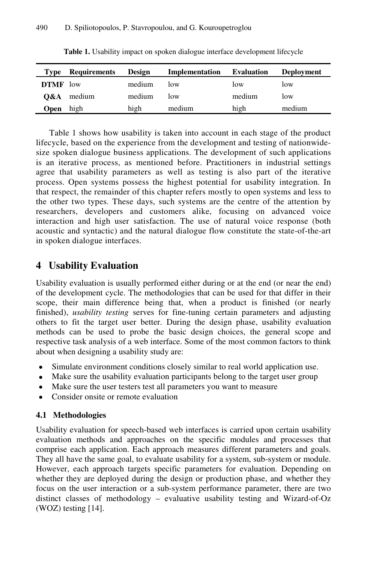| Type            | <b>Requirements</b> | <b>Design</b> | Implementation | <b>Evaluation</b> | <b>Deployment</b> |
|-----------------|---------------------|---------------|----------------|-------------------|-------------------|
| <b>DTMF</b> low |                     | medium        | <b>JOW</b>     | low               | low               |
| O&A             | medium              | medium        | low            | medium            | low               |
| Open            | high                | high          | medium         | high              | medium            |

**Table 1.** Usability impact on spoken dialogue interface development lifecycle

Table 1 shows how usability is taken into account in each stage of the product lifecycle, based on the experience from the development and testing of nationwidesize spoken dialogue business applications. The development of such applications is an iterative process, as mentioned before. Practitioners in industrial settings agree that usability parameters as well as testing is also part of the iterative process. Open systems possess the highest potential for usability integration. In that respect, the remainder of this chapter refers mostly to open systems and less to the other two types. These days, such systems are the centre of the attention by researchers, developers and customers alike, focusing on advanced voice interaction and high user satisfaction. The use of natural voice response (both acoustic and syntactic) and the natural dialogue flow constitute the state-of-the-art in spoken dialogue interfaces.

# **4 Usability Evaluation**

Usability evaluation is usually performed either during or at the end (or near the end) of the development cycle. The methodologies that can be used for that differ in their scope, their main difference being that, when a product is finished (or nearly finished), *usability testing* serves for fine-tuning certain parameters and adjusting others to fit the target user better. During the design phase, usability evaluation methods can be used to probe the basic design choices, the general scope and respective task analysis of a web interface. Some of the most common factors to think about when designing a usability study are:

- Simulate environment conditions closely similar to real world application use.
- Make sure the usability evaluation participants belong to the target user group
- Make sure the user testers test all parameters you want to measure
- Consider onsite or remote evaluation

### **4.1 Methodologies**

Usability evaluation for speech-based web interfaces is carried upon certain usability evaluation methods and approaches on the specific modules and processes that comprise each application. Each approach measures different parameters and goals. They all have the same goal, to evaluate usability for a system, sub-system or module. However, each approach targets specific parameters for evaluation. Depending on whether they are deployed during the design or production phase, and whether they focus on the user interaction or a sub-system performance parameter, there are two distinct classes of methodology – evaluative usability testing and Wizard-of-Oz (WOZ) testing [14].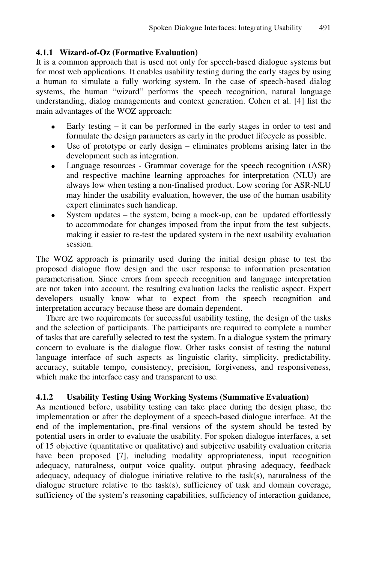### **4.1.1 Wizard-of-Oz (Formative Evaluation)**

It is a common approach that is used not only for speech-based dialogue systems but for most web applications. It enables usability testing during the early stages by using a human to simulate a fully working system. In the case of speech-based dialog systems, the human "wizard" performs the speech recognition, natural language understanding, dialog managements and context generation. Cohen et al. [4] list the main advantages of the WOZ approach:

- Early testing  $-$  it can be performed in the early stages in order to test and formulate the design parameters as early in the product lifecycle as possible.
- Use of prototype or early design eliminates problems arising later in the development such as integration.
- Language resources Grammar coverage for the speech recognition (ASR) and respective machine learning approaches for interpretation (NLU) are always low when testing a non-finalised product. Low scoring for ASR-NLU may hinder the usability evaluation, however, the use of the human usability expert eliminates such handicap.
- System updates the system, being a mock-up, can be updated effortlessly to accommodate for changes imposed from the input from the test subjects, making it easier to re-test the updated system in the next usability evaluation session.

The WOZ approach is primarily used during the initial design phase to test the proposed dialogue flow design and the user response to information presentation parameterisation. Since errors from speech recognition and language interpretation are not taken into account, the resulting evaluation lacks the realistic aspect. Expert developers usually know what to expect from the speech recognition and interpretation accuracy because these are domain dependent.

There are two requirements for successful usability testing, the design of the tasks and the selection of participants. The participants are required to complete a number of tasks that are carefully selected to test the system. In a dialogue system the primary concern to evaluate is the dialogue flow. Other tasks consist of testing the natural language interface of such aspects as linguistic clarity, simplicity, predictability, accuracy, suitable tempo, consistency, precision, forgiveness, and responsiveness, which make the interface easy and transparent to use.

### **4.1.2 Usability Testing Using Working Systems (Summative Evaluation)**

As mentioned before, usability testing can take place during the design phase, the implementation or after the deployment of a speech-based dialogue interface. At the end of the implementation, pre-final versions of the system should be tested by potential users in order to evaluate the usability. For spoken dialogue interfaces, a set of 15 objective (quantitative or qualitative) and subjective usability evaluation criteria have been proposed [7], including modality appropriateness, input recognition adequacy, naturalness, output voice quality, output phrasing adequacy, feedback adequacy, adequacy of dialogue initiative relative to the task(s), naturalness of the dialogue structure relative to the task(s), sufficiency of task and domain coverage, sufficiency of the system's reasoning capabilities, sufficiency of interaction guidance,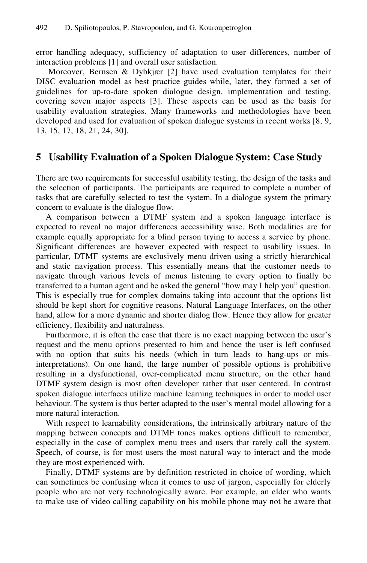error handling adequacy, sufficiency of adaptation to user differences, number of interaction problems [1] and overall user satisfaction.

Moreover, Bernsen & Dybkjær [2] have used evaluation templates for their DISC evaluation model as best practice guides while, later, they formed a set of guidelines for up-to-date spoken dialogue design, implementation and testing, covering seven major aspects [3]. These aspects can be used as the basis for usability evaluation strategies. Many frameworks and methodologies have been developed and used for evaluation of spoken dialogue systems in recent works [8, 9, 13, 15, 17, 18, 21, 24, 30].

### **5 Usability Evaluation of a Spoken Dialogue System: Case Study**

There are two requirements for successful usability testing, the design of the tasks and the selection of participants. The participants are required to complete a number of tasks that are carefully selected to test the system. In a dialogue system the primary concern to evaluate is the dialogue flow.

A comparison between a DTMF system and a spoken language interface is expected to reveal no major differences accessibility wise. Both modalities are for example equally appropriate for a blind person trying to access a service by phone. Significant differences are however expected with respect to usability issues. In particular, DTMF systems are exclusively menu driven using a strictly hierarchical and static navigation process. This essentially means that the customer needs to navigate through various levels of menus listening to every option to finally be transferred to a human agent and be asked the general "how may I help you" question. This is especially true for complex domains taking into account that the options list should be kept short for cognitive reasons. Natural Language Interfaces, on the other hand, allow for a more dynamic and shorter dialog flow. Hence they allow for greater efficiency, flexibility and naturalness.

Furthermore, it is often the case that there is no exact mapping between the user's request and the menu options presented to him and hence the user is left confused with no option that suits his needs (which in turn leads to hang-ups or misinterpretations). On one hand, the large number of possible options is prohibitive resulting in a dysfunctional, over-complicated menu structure, on the other hand DTMF system design is most often developer rather that user centered. In contrast spoken dialogue interfaces utilize machine learning techniques in order to model user behaviour. The system is thus better adapted to the user's mental model allowing for a more natural interaction.

With respect to learnability considerations, the intrinsically arbitrary nature of the mapping between concepts and DTMF tones makes options difficult to remember, especially in the case of complex menu trees and users that rarely call the system. Speech, of course, is for most users the most natural way to interact and the mode they are most experienced with.

Finally, DTMF systems are by definition restricted in choice of wording, which can sometimes be confusing when it comes to use of jargon, especially for elderly people who are not very technologically aware. For example, an elder who wants to make use of video calling capability on his mobile phone may not be aware that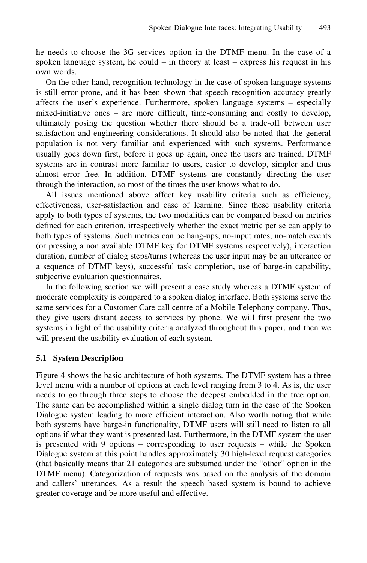he needs to choose the 3G services option in the DTMF menu. In the case of a spoken language system, he could – in theory at least – express his request in his own words.

On the other hand, recognition technology in the case of spoken language systems is still error prone, and it has been shown that speech recognition accuracy greatly affects the user's experience. Furthermore, spoken language systems – especially mixed-initiative ones – are more difficult, time-consuming and costly to develop, ultimately posing the question whether there should be a trade-off between user satisfaction and engineering considerations. It should also be noted that the general population is not very familiar and experienced with such systems. Performance usually goes down first, before it goes up again, once the users are trained. DTMF systems are in contrast more familiar to users, easier to develop, simpler and thus almost error free. In addition, DTMF systems are constantly directing the user through the interaction, so most of the times the user knows what to do.

All issues mentioned above affect key usability criteria such as efficiency, effectiveness, user-satisfaction and ease of learning. Since these usability criteria apply to both types of systems, the two modalities can be compared based on metrics defined for each criterion, irrespectively whether the exact metric per se can apply to both types of systems. Such metrics can be hang-ups, no-input rates, no-match events (or pressing a non available DTMF key for DTMF systems respectively), interaction duration, number of dialog steps/turns (whereas the user input may be an utterance or a sequence of DTMF keys), successful task completion, use of barge-in capability, subjective evaluation questionnaires.

In the following section we will present a case study whereas a DTMF system of moderate complexity is compared to a spoken dialog interface. Both systems serve the same services for a Customer Care call centre of a Mobile Telephony company. Thus, they give users distant access to services by phone. We will first present the two systems in light of the usability criteria analyzed throughout this paper, and then we will present the usability evaluation of each system.

#### **5.1 System Description**

Figure 4 shows the basic architecture of both systems. The DTMF system has a three level menu with a number of options at each level ranging from 3 to 4. As is, the user needs to go through three steps to choose the deepest embedded in the tree option. The same can be accomplished within a single dialog turn in the case of the Spoken Dialogue system leading to more efficient interaction. Also worth noting that while both systems have barge-in functionality, DTMF users will still need to listen to all options if what they want is presented last. Furthermore, in the DTMF system the user is presented with 9 options – corresponding to user requests – while the Spoken Dialogue system at this point handles approximately 30 high-level request categories (that basically means that 21 categories are subsumed under the "other" option in the DTMF menu). Categorization of requests was based on the analysis of the domain and callers' utterances. As a result the speech based system is bound to achieve greater coverage and be more useful and effective.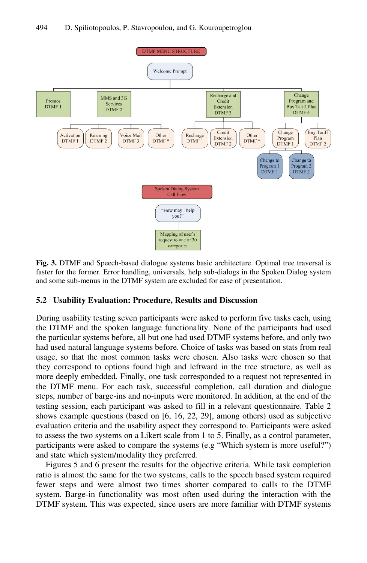

**Fig. 3.** DTMF and Speech-based dialogue systems basic architecture. Optimal tree traversal is faster for the former. Error handling, universals, help sub-dialogs in the Spoken Dialog system and some sub-menus in the DTMF system are excluded for ease of presentation.

#### **5.2 Usability Evaluation: Procedure, Results and Discussion**

During usability testing seven participants were asked to perform five tasks each, using the DTMF and the spoken language functionality. None of the participants had used the particular systems before, all but one had used DTMF systems before, and only two had used natural language systems before. Choice of tasks was based on stats from real usage, so that the most common tasks were chosen. Also tasks were chosen so that they correspond to options found high and leftward in the tree structure, as well as more deeply embedded. Finally, one task corresponded to a request not represented in the DTMF menu. For each task, successful completion, call duration and dialogue steps, number of barge-ins and no-inputs were monitored. In addition, at the end of the testing session, each participant was asked to fill in a relevant questionnaire. Table 2 shows example questions (based on [6, 16, 22, 29], among others) used as subjective evaluation criteria and the usability aspect they correspond to. Participants were asked to assess the two systems on a Likert scale from 1 to 5. Finally, as a control parameter, participants were asked to compare the systems (e.g "Which system is more useful?") and state which system/modality they preferred.

Figures 5 and 6 present the results for the objective criteria. While task completion ratio is almost the same for the two systems, calls to the speech based system required fewer steps and were almost two times shorter compared to calls to the DTMF system. Barge-in functionality was most often used during the interaction with the DTMF system. This was expected, since users are more familiar with DTMF systems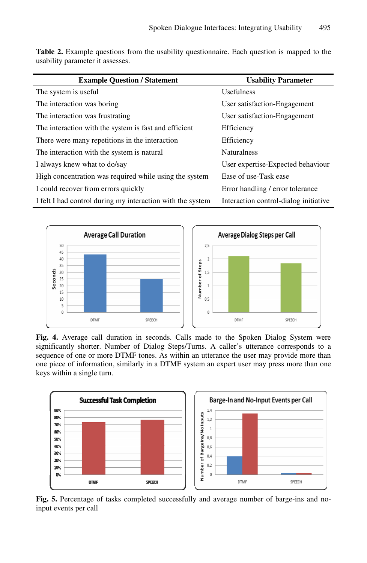| <b>Example Question / Statement</b>                        | <b>Usability Parameter</b>            |  |
|------------------------------------------------------------|---------------------------------------|--|
| The system is useful.                                      | <b>Usefulness</b>                     |  |
| The interaction was boring                                 | User satisfaction-Engagement          |  |
| The interaction was frustrating                            | User satisfaction-Engagement          |  |
| The interaction with the system is fast and efficient      | Efficiency                            |  |
| There were many repetitions in the interaction             | Efficiency                            |  |
| The interaction with the system is natural                 | <b>Naturalness</b>                    |  |
| I always knew what to do/say                               | User expertise-Expected behaviour     |  |
| High concentration was required while using the system     | Ease of use-Task ease                 |  |
| I could recover from errors quickly                        | Error handling / error tolerance      |  |
| I felt I had control during my interaction with the system | Interaction control-dialog initiative |  |

**Table 2.** Example questions from the usability questionnaire. Each question is mapped to the usability parameter it assesses.



**Fig. 4.** Average call duration in seconds. Calls made to the Spoken Dialog System were significantly shorter. Number of Dialog Steps/Turns. A caller's utterance corresponds to a sequence of one or more DTMF tones. As within an utterance the user may provide more than one piece of information, similarly in a DTMF system an expert user may press more than one keys within a single turn.



**Fig. 5.** Percentage of tasks completed successfully and average number of barge-ins and noinput events per call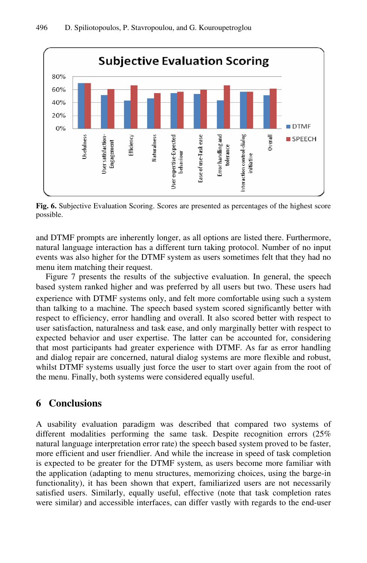

**Fig. 6.** Subjective Evaluation Scoring. Scores are presented as percentages of the highest score possible.

and DTMF prompts are inherently longer, as all options are listed there. Furthermore, natural language interaction has a different turn taking protocol. Number of no input events was also higher for the DTMF system as users sometimes felt that they had no menu item matching their request.

Figure 7 presents the results of the subjective evaluation. In general, the speech based system ranked higher and was preferred by all users but two. These users had experience with DTMF systems only, and felt more comfortable using such a system than talking to a machine. The speech based system scored significantly better with respect to efficiency, error handling and overall. It also scored better with respect to user satisfaction, naturalness and task ease, and only marginally better with respect to expected behavior and user expertise. The latter can be accounted for, considering that most participants had greater experience with DTMF. As far as error handling and dialog repair are concerned, natural dialog systems are more flexible and robust, whilst DTMF systems usually just force the user to start over again from the root of the menu. Finally, both systems were considered equally useful.

## **6 Conclusions**

A usability evaluation paradigm was described that compared two systems of different modalities performing the same task. Despite recognition errors (25% natural language interpretation error rate) the speech based system proved to be faster, more efficient and user friendlier. And while the increase in speed of task completion is expected to be greater for the DTMF system, as users become more familiar with the application (adapting to menu structures, memorizing choices, using the barge-in functionality), it has been shown that expert, familiarized users are not necessarily satisfied users. Similarly, equally useful, effective (note that task completion rates were similar) and accessible interfaces, can differ vastly with regards to the end-user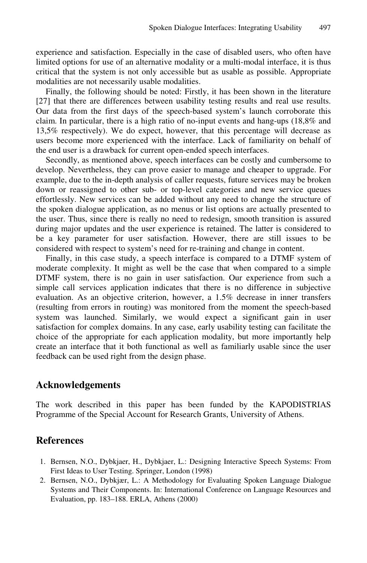experience and satisfaction. Especially in the case of disabled users, who often have limited options for use of an alternative modality or a multi-modal interface, it is thus critical that the system is not only accessible but as usable as possible. Appropriate modalities are not necessarily usable modalities.

Finally, the following should be noted: Firstly, it has been shown in the literature [27] that there are differences between usability testing results and real use results. Our data from the first days of the speech-based system's launch corroborate this claim. In particular, there is a high ratio of no-input events and hang-ups (18,8% and 13,5% respectively). We do expect, however, that this percentage will decrease as users become more experienced with the interface. Lack of familiarity on behalf of the end user is a drawback for current open-ended speech interfaces.

Secondly, as mentioned above, speech interfaces can be costly and cumbersome to develop. Nevertheless, they can prove easier to manage and cheaper to upgrade. For example, due to the in-depth analysis of caller requests, future services may be broken down or reassigned to other sub- or top-level categories and new service queues effortlessly. New services can be added without any need to change the structure of the spoken dialogue application, as no menus or list options are actually presented to the user. Thus, since there is really no need to redesign, smooth transition is assured during major updates and the user experience is retained. The latter is considered to be a key parameter for user satisfaction. However, there are still issues to be considered with respect to system's need for re-training and change in content.

Finally, in this case study, a speech interface is compared to a DTMF system of moderate complexity. It might as well be the case that when compared to a simple DTMF system, there is no gain in user satisfaction. Our experience from such a simple call services application indicates that there is no difference in subjective evaluation. As an objective criterion, however, a 1.5% decrease in inner transfers (resulting from errors in routing) was monitored from the moment the speech-based system was launched. Similarly, we would expect a significant gain in user satisfaction for complex domains. In any case, early usability testing can facilitate the choice of the appropriate for each application modality, but more importantly help create an interface that it both functional as well as familiarly usable since the user feedback can be used right from the design phase.

#### **Acknowledgements**

The work described in this paper has been funded by the KAPODISTRIAS Programme of the Special Account for Research Grants, University of Athens.

### **References**

- 1. Bernsen, N.O., Dybkjaer, H., Dybkjaer, L.: Designing Interactive Speech Systems: From First Ideas to User Testing. Springer, London (1998)
- 2. Bernsen, N.O., Dybkjær, L.: A Methodology for Evaluating Spoken Language Dialogue Systems and Their Components. In: International Conference on Language Resources and Evaluation, pp. 183–188. ERLA, Athens (2000)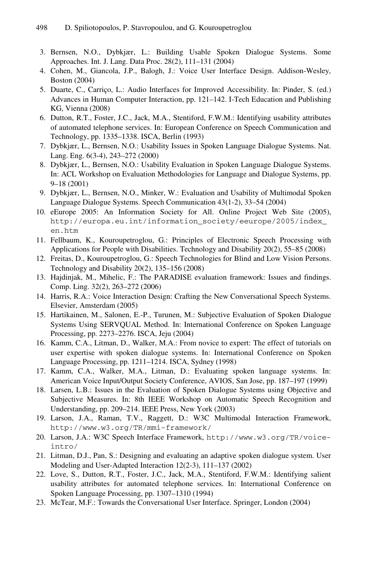- 3. Bernsen, N.O., Dybkjær, L.: Building Usable Spoken Dialogue Systems. Some Approaches. Int. J. Lang. Data Proc. 28(2), 111–131 (2004)
- 4. Cohen, M., Giancola, J.P., Balogh, J.: Voice User Interface Design. Addison-Wesley, Boston (2004)
- 5. Duarte, C., Carriço, L.: Audio Interfaces for Improved Accessibility. In: Pinder, S. (ed.) Advances in Human Computer Interaction, pp. 121–142. I-Tech Education and Publishing KG, Vienna (2008)
- 6. Dutton, R.T., Foster, J.C., Jack, M.A., Stentiford, F.W.M.: Identifying usability attributes of automated telephone services. In: European Conference on Speech Communication and Technology, pp. 1335–1338. ISCA, Berlin (1993)
- 7. Dybkjær, L., Bernsen, N.O.: Usability Issues in Spoken Language Dialogue Systems. Nat. Lang. Eng. 6(3-4), 243–272 (2000)
- 8. Dybkjær, L., Bernsen, N.O.: Usability Evaluation in Spoken Language Dialogue Systems. In: ACL Workshop on Evaluation Methodologies for Language and Dialogue Systems, pp. 9–18 (2001)
- 9. Dybkjær, L., Bernsen, N.O., Minker, W.: Evaluation and Usability of Multimodal Spoken Language Dialogue Systems. Speech Communication 43(1-2), 33–54 (2004)
- 10. eEurope 2005: An Information Society for All. Online Project Web Site (2005), http://europa.eu.int/information\_society/eeurope/2005/index\_ en.htm
- 11. Fellbaum, K., Kouroupetroglou, G.: Principles of Electronic Speech Processing with Applications for People with Disabilities. Technology and Disability 20(2), 55–85 (2008)
- 12. Freitas, D., Kouroupetroglou, G.: Speech Technologies for Blind and Low Vision Persons. Technology and Disability 20(2), 135–156 (2008)
- 13. Hajdinjak, M., Mihelic, F.: The PARADISE evaluation framework: Issues and findings. Comp. Ling. 32(2), 263–272 (2006)
- 14. Harris, R.A.: Voice Interaction Design: Crafting the New Conversational Speech Systems. Elsevier, Amsterdam (2005)
- 15. Hartikainen, M., Salonen, E.-P., Turunen, M.: Subjective Evaluation of Spoken Dialogue Systems Using SERVQUAL Method. In: International Conference on Spoken Language Processing, pp. 2273–2276. ISCA, Jeju (2004)
- 16. Kamm, C.A., Litman, D., Walker, M.A.: From novice to expert: The effect of tutorials on user expertise with spoken dialogue systems. In: International Conference on Spoken Language Processing, pp. 1211–1214. ISCA, Sydney (1998)
- 17. Kamm, C.A., Walker, M.A., Litman, D.: Evaluating spoken language systems. In: American Voice Input/Output Society Conference, AVIOS, San Jose, pp. 187–197 (1999)
- 18. Larsen, L.B.: Issues in the Evaluation of Spoken Dialogue Systems using Objective and Subjective Measures. In: 8th IEEE Workshop on Automatic Speech Recognition and Understanding, pp. 209–214. IEEE Press, New York (2003)
- 19. Larson, J.A., Raman, T.V., Raggett, D.: W3C Multimodal Interaction Framework, http://www.w3.org/TR/mmi-framework/
- 20. Larson, J.A.: W3C Speech Interface Framework, http://www.w3.org/TR/voiceintro/
- 21. Litman, D.J., Pan, S.: Designing and evaluating an adaptive spoken dialogue system. User Modeling and User-Adapted Interaction 12(2-3), 111–137 (2002)
- 22. Love, S., Dutton, R.T., Foster, J.C., Jack, M.A., Stentiford, F.W.M.: Identifying salient usability attributes for automated telephone services. In: International Conference on Spoken Language Processing, pp. 1307–1310 (1994)
- 23. McTear, M.F.: Towards the Conversational User Interface. Springer, London (2004)